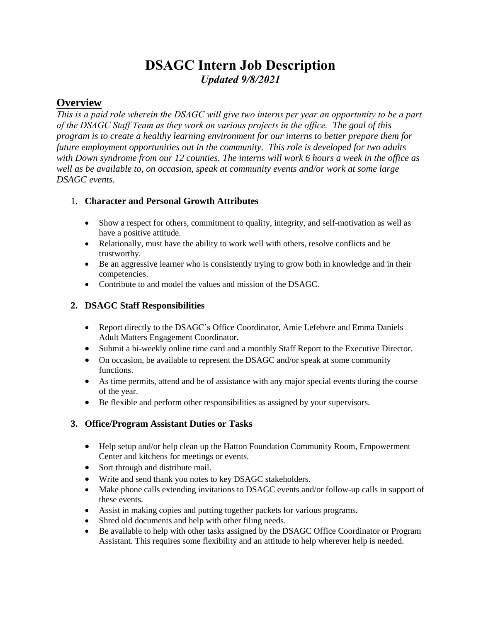# **DSAGC Intern Job Description** *Updated 9/8/2021*

# **Overview**

*This is a paid role wherein the DSAGC will give two interns per year an opportunity to be a part of the DSAGC Staff Team as they work on various projects in the office. The goal of this program is to create a healthy learning environment for our interns to better prepare them for future employment opportunities out in the community. This role is developed for two adults with Down syndrome from our 12 counties. The interns will work 6 hours a week in the office as well as be available to, on occasion, speak at community events and/or work at some large DSAGC events.*

## 1. **Character and Personal Growth Attributes**

- Show a respect for others, commitment to quality, integrity, and self-motivation as well as have a positive attitude.
- Relationally, must have the ability to work well with others, resolve conflicts and be trustworthy.
- Be an aggressive learner who is consistently trying to grow both in knowledge and in their competencies.
- Contribute to and model the values and mission of the DSAGC.

## **2. DSAGC Staff Responsibilities**

- Report directly to the DSAGC's Office Coordinator, Amie Lefebvre and Emma Daniels Adult Matters Engagement Coordinator.
- Submit a bi-weekly online time card and a monthly Staff Report to the Executive Director.
- On occasion, be available to represent the DSAGC and/or speak at some community functions.
- As time permits, attend and be of assistance with any major special events during the course of the year.
- Be flexible and perform other responsibilities as assigned by your supervisors.

#### **3. Office/Program Assistant Duties or Tasks**

- Help setup and/or help clean up the Hatton Foundation Community Room, Empowerment Center and kitchens for meetings or events.
- Sort through and distribute mail.
- Write and send thank you notes to key DSAGC stakeholders.
- Make phone calls extending invitations to DSAGC events and/or follow-up calls in support of these events.
- Assist in making copies and putting together packets for various programs.
- Shred old documents and help with other filing needs.
- Be available to help with other tasks assigned by the DSAGC Office Coordinator or Program Assistant. This requires some flexibility and an attitude to help wherever help is needed.